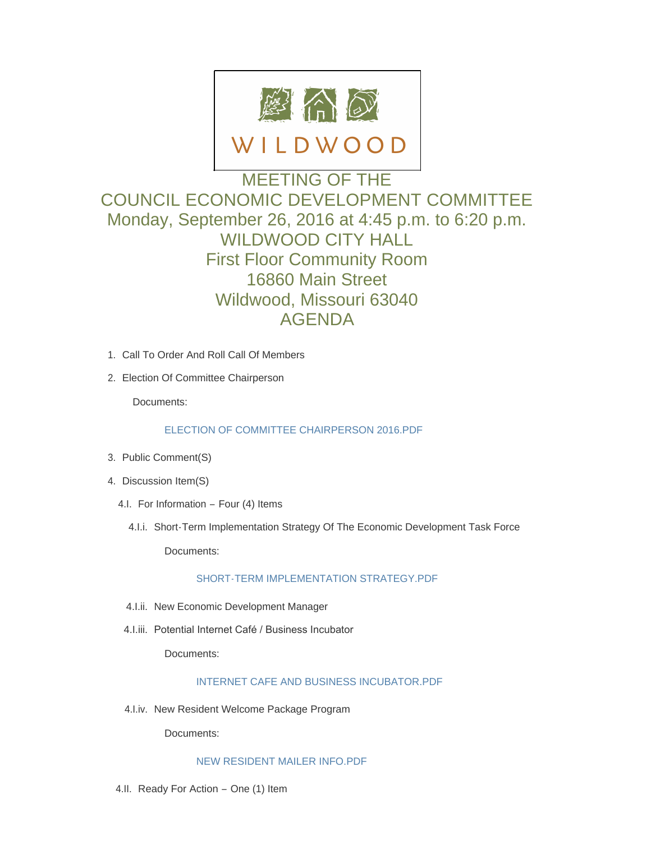

# MEETING OF THE COUNCIL ECONOMIC DEVELOPMENT COMMITTEE Monday, September 26, 2016 at 4:45 p.m. to 6:20 p.m. WILDWOOD CITY HALL First Floor Community Room 16860 Main Street Wildwood, Missouri 63040 AGENDA

- 1. Call To Order And Roll Call Of Members
- 2. Election Of Committee Chairperson

Documents:

## [ELECTION OF COMMITTEE CHAIRPERSON 2016.PDF](http://mo-wildwood.civicplus.com/AgendaCenter/ViewFile/Item/8314?fileID=12352)

- 3. Public Comment(S)
- 4. Discussion Item(S)
	- 4.I. For Information Four (4) Items
		- 4.I.i. Short-Term Implementation Strategy Of The Economic Development Task Force

Documents:

## [SHORT-TERM IMPLEMENTATION STRATEGY.PDF](http://mo-wildwood.civicplus.com/AgendaCenter/ViewFile/Item/8318?fileID=12351)

- 4.I.ii. New Economic Development Manager
- 4.I.iii. Potential Internet Café / Business Incubator

Documents:

## [INTERNET CAFE AND BUSINESS INCUBATOR.PDF](http://mo-wildwood.civicplus.com/AgendaCenter/ViewFile/Item/8320?fileID=12353)

4.I.iv. New Resident Welcome Package Program

Documents:

#### [NEW RESIDENT MAILER INFO.PDF](http://mo-wildwood.civicplus.com/AgendaCenter/ViewFile/Item/8321?fileID=12354)

4.II. Ready For Action - One (1) Item